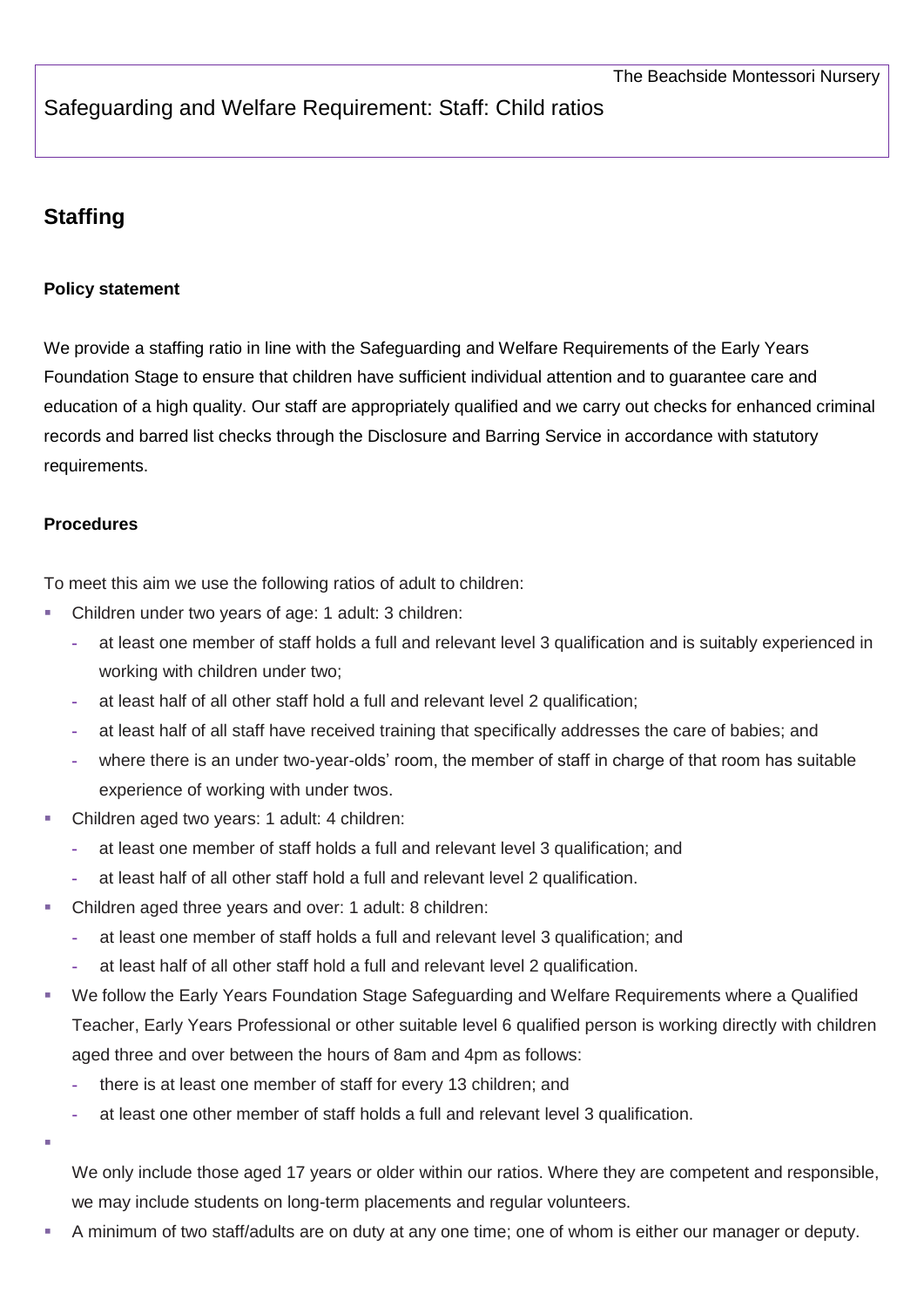## Safeguarding and Welfare Requirement: Staff: Child ratios

## **Staffing**

## **Policy statement**

We provide a staffing ratio in line with the Safeguarding and Welfare Requirements of the Early Years Foundation Stage to ensure that children have sufficient individual attention and to guarantee care and education of a high quality. Our staff are appropriately qualified and we carry out checks for enhanced criminal records and barred list checks through the Disclosure and Barring Service in accordance with statutory requirements.

## **Procedures**

To meet this aim we use the following ratios of adult to children:

- Children under two years of age: 1 adult: 3 children:
	- **-** at least one member of staff holds a full and relevant level 3 qualification and is suitably experienced in working with children under two;
	- **-** at least half of all other staff hold a full and relevant level 2 qualification;
	- **-** at least half of all staff have received training that specifically addresses the care of babies; and
	- **-** where there is an under two-year-olds' room, the member of staff in charge of that room has suitable experience of working with under twos.
- Children aged two years: 1 adult: 4 children:
	- **-** at least one member of staff holds a full and relevant level 3 qualification; and
	- **-** at least half of all other staff hold a full and relevant level 2 qualification.
- Children aged three years and over: 1 adult: 8 children:
	- **-** at least one member of staff holds a full and relevant level 3 qualification; and
	- **-** at least half of all other staff hold a full and relevant level 2 qualification.
- We follow the Early Years Foundation Stage Safeguarding and Welfare Requirements where a Qualified Teacher, Early Years Professional or other suitable level 6 qualified person is working directly with children aged three and over between the hours of 8am and 4pm as follows:
	- **-** there is at least one member of staff for every 13 children; and
	- **-** at least one other member of staff holds a full and relevant level 3 qualification.

ı

We only include those aged 17 years or older within our ratios. Where they are competent and responsible, we may include students on long-term placements and regular volunteers.

A minimum of two staff/adults are on duty at any one time; one of whom is either our manager or deputy.